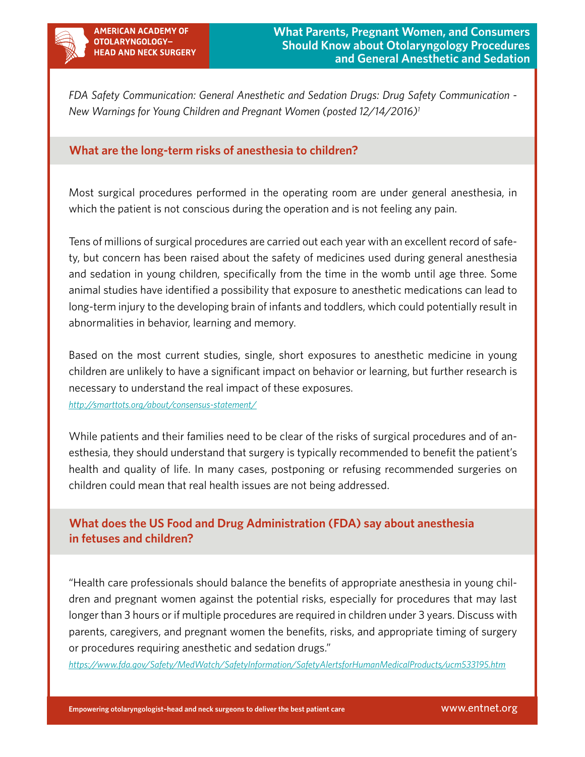

*FDA Safety Communication: General Anesthetic and Sedation Drugs: Drug Safety Communication - New Warnings for Young Children and Pregnant Women (posted 12/14/2016)1*

## **What are the long-term risks of anesthesia to children?**

Most surgical procedures performed in the operating room are under general anesthesia, in which the patient is not conscious during the operation and is not feeling any pain.

Tens of millions of surgical procedures are carried out each year with an excellent record of safety, but concern has been raised about the safety of medicines used during general anesthesia and sedation in young children, specifically from the time in the womb until age three. Some animal studies have identified a possibility that exposure to anesthetic medications can lead to long-term injury to the developing brain of infants and toddlers, which could potentially result in abnormalities in behavior, learning and memory.

Based on the most current studies, single, short exposures to anesthetic medicine in young children are unlikely to have a significant impact on behavior or learning, but further research is necessary to understand the real impact of these exposures.

*<http://smarttots.org/about/consensus-statement/>*

While patients and their families need to be clear of the risks of surgical procedures and of anesthesia, they should understand that surgery is typically recommended to benefit the patient's health and quality of life. In many cases, postponing or refusing recommended surgeries on children could mean that real health issues are not being addressed.

# **What does the US Food and Drug Administration (FDA) say about anesthesia in fetuses and children?**

"Health care professionals should balance the benefits of appropriate anesthesia in young children and pregnant women against the potential risks, especially for procedures that may last longer than 3 hours or if multiple procedures are required in children under 3 years. Discuss with parents, caregivers, and pregnant women the benefits, risks, and appropriate timing of surgery or procedures requiring anesthetic and sedation drugs."

*<https://www.fda.gov/Safety/MedWatch/SafetyInformation/SafetyAlertsforHumanMedicalProducts/ucm533195.htm>*